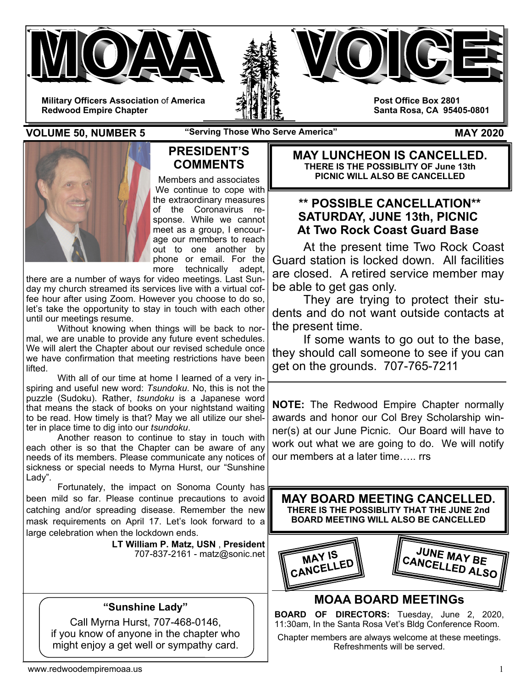



**Military Officers Association** of **America Redwood Empire Chapter** 

**Post Office Box 2801 Santa Rosa, CA 95405-0801** 

**VOLUME 50, NUMBER 5** "Serving Those Who Serve America" MAY 2020

L



### **PRESIDENT'S COMMENTS**

Members and associates We continue to cope with the extraordinary measures of the Coronavirus response. While we cannot meet as a group, I encourage our members to reach out to one another by phone or email. For the more technically adept,

there are a number of ways for video meetings. Last Sunday my church streamed its services live with a virtual coffee hour after using Zoom. However you choose to do so, let's take the opportunity to stay in touch with each other until our meetings resume.

 Without knowing when things will be back to normal, we are unable to provide any future event schedules. We will alert the Chapter about our revised schedule once we have confirmation that meeting restrictions have been lifted.

 With all of our time at home I learned of a very inspiring and useful new word: *Tsundoku*. No, this is not the puzzle (Sudoku). Rather, *tsundoku* is a Japanese word that means the stack of books on your nightstand waiting to be read. How timely is that? May we all utilize our shelter in place time to dig into our *tsundoku*.

 Another reason to continue to stay in touch with each other is so that the Chapter can be aware of any needs of its members. Please communicate any notices of sickness or special needs to Myrna Hurst, our "Sunshine Lady".

 Fortunately, the impact on Sonoma County has been mild so far. Please continue precautions to avoid catching and/or spreading disease. Remember the new mask requirements on April 17. Let's look forward to a large celebration when the lockdown ends.

**LT William P. Matz, USN** , **President** 707-837-2161 - matz@sonic.net

## **"Sunshine Lady"**

Call Myrna Hurst, 707-468-0146, if you know of anyone in the chapter who might enjoy a get well or sympathy card.

**MAY LUNCHEON IS CANCELLED. THERE IS THE POSSIBLITY OF June 13th PICNIC WILL ALSO BE CANCELLED** 

# **\*\* POSSIBLE CANCELLATION\*\* SATURDAY, JUNE 13th, PICNIC At Two Rock Coast Guard Base**

 At the present time Two Rock Coast Guard station is locked down. All facilities are closed. A retired service member may be able to get gas only.

 They are trying to protect their students and do not want outside contacts at the present time.

 If some wants to go out to the base, they should call someone to see if you can get on the grounds. 707-765-7211

**NOTE:** The Redwood Empire Chapter normally awards and honor our Col Brey Scholarship winner(s) at our June Picnic. Our Board will have to work out what we are going to do. We will notify our members at a later time **rrs** 



# **MOAA BOARD MEETINGs**

**BOARD OF DIRECTORS:** Tuesday, June 2, 2020, 11:30am, In the Santa Rosa Vet's Bldg Conference Room.

Chapter members are always welcome at these meetings. Refreshments will be served.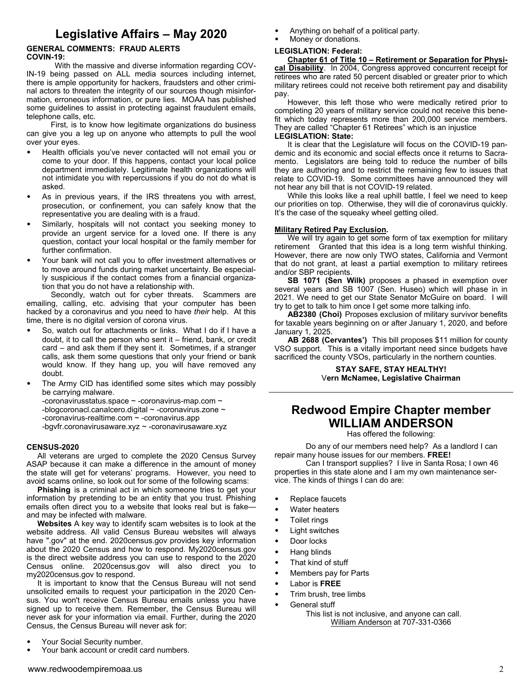# **Legislative Affairs – May 2020**

#### **GENERAL COMMENTS: FRAUD ALERTS COVIN-19:**

With the massive and diverse information regarding COV-IN-19 being passed on ALL media sources including internet, there is ample opportunity for hackers, fraudsters and other criminal actors to threaten the integrity of our sources though misinformation, erroneous information, or pure lies. MOAA has published some guidelines to assist in protecting against fraudulent emails, telephone calls, etc.

 First, is to know how legitimate organizations do business can give you a leg up on anyone who attempts to pull the wool over your eyes.

- Health officials you've never contacted will not email you or come to your door. If this happens, contact your local police department immediately. Legitimate health organizations will not intimidate you with repercussions if you do not do what is asked.
- As in previous years, if the IRS threatens you with arrest, prosecution, or confinement, you can safely know that the representative you are dealing with is a fraud.
- Similarly, hospitals will not contact you seeking money to provide an urgent service for a loved one. If there is any question, contact your local hospital or the family member for further confirmation.
- Your bank will not call you to offer investment alternatives or to move around funds during market uncertainty. Be especially suspicious if the contact comes from a financial organization that you do not have a relationship with.

 Secondly, watch out for cyber threats. Scammers are emailing, calling, etc. advising that your computer has been hacked by a coronavirus and you need to have *their* help. At this time, there is no digital version of corona virus.

- So, watch out for attachments or links. What I do if I have a doubt, it to call the person who sent it – friend, bank, or credit card – and ask them if they sent it. Sometimes, if a stranger calls, ask them some questions that only your friend or bank would know. If they hang up, you will have removed any doubt.
- The Army CID has identified some sites which may possibly be carrying malware.
	- -coronavirusstatus.space  $\sim$  -coronavirus-map.com  $\sim$
	- -blogcoronacl.canalcero.digital ~ -coronavirus.zone ~
	- -coronavirus-realtime.com ~ -coronavirus.app
	- -bgvfr.coronavirusaware.xyz ~ -coronavirusaware.xyz

#### **CENSUS-2020**

 All veterans are urged to complete the 2020 Census Survey ASAP because it can make a difference in the amount of money the state will get for veterans' programs. However, you need to avoid scams online, so look out for some of the following scams:

 **Phishing** is a criminal act in which someone tries to get your information by pretending to be an entity that you trust. Phishing emails often direct you to a website that looks real but is fake and may be infected with malware.

 **Websites** A key way to identify scam websites is to look at the website address. All valid Census Bureau websites will always have ".gov" at the end. 2020census.gov provides key information about the 2020 Census and how to respond. My2020census.gov is the direct website address you can use to respond to the 2020 Census online. 2020census.gov will also direct you to my2020census.gov to respond.

 It is important to know that the Census Bureau will not send unsolicited emails to request your participation in the 2020 Census. You won't receive Census Bureau emails unless you have signed up to receive them. Remember, the Census Bureau will never ask for your information via email. Further, during the 2020 Census, the Census Bureau will never ask for:

- Your Social Security number.
- Your bank account or credit card numbers.
- Anything on behalf of a political party.
- Money or donations.

#### **LEGISLATION: Federal:**

 **Chapter 61 of Title 10 – Retirement or Separation for Physical Disability**. In 2004, Congress approved concurrent receipt for retirees who are rated 50 percent disabled or greater prior to which military retirees could not receive both retirement pay and disability pay.

 However, this left those who were medically retired prior to completing 20 years of military service could not receive this benefit which today represents more than 200,000 service members. They are called "Chapter 61 Retirees" which is an injustice

### **LEGISLATION: State:**

It is clear that the Legislature will focus on the COVID-19 pandemic and its economic and social effects once it returns to Sacramento. Legislators are being told to reduce the number of bills they are authoring and to restrict the remaining few to issues that relate to COVID-19. Some committees have announced they will not hear any bill that is not COVID-19 related.

 While this looks like a real uphill battle, I feel we need to keep our priorities on top. Otherwise, they will die of coronavirus quickly. It's the case of the squeaky wheel getting oiled.

#### **Military Retired Pay Exclusion.**

We will try again to get some form of tax exemption for military retirement Granted that this idea is a long term wishful thinking. However, there are now only TWO states, California and Vermont that do not grant, at least a partial exemption to military retirees and/or SBP recipients.

 **SB 1071 (Sen Wilk)** proposes a phased in exemption over several years and SB 1007 (Sen. Huseo) which will phase in in 2021. We need to get our State Senator McGuire on board. I will try to get to talk to him once I get some more talking info.

 **AB2380 (Choi)** Proposes exclusion of military survivor benefits for taxable years beginning on or after January 1, 2020, and before January 1, 2025.

 **AB 2688 (Cervantes')** This bill proposes \$11 million for county VSO support. This is a vitally important need since budgets have sacrificed the county VSOs, particularly in the northern counties.

> **STAY SAFE, STAY HEALTHY!** V**ern McNamee, Legislative Chairman**

### **Redwood Empire Chapter member WILLIAM ANDERSON**

Has offered the following:

 Do any of our members need help? As a landlord I can repair many house issues for our members. **FREE!**

 Can I transport supplies? I live in Santa Rosa; I own 46 properties in this state alone and I am my own maintenance service. The kinds of things I can do are:

- Replace faucets
- Water heaters
- Toilet rings
- Light switches
- Door locks
- Hang blinds
- That kind of stuff
- Members pay for Parts
- Labor is **FREE**
- Trim brush, tree limbs
- General stuff
	- This list is not inclusive, and anyone can call. William Anderson at 707-331-0366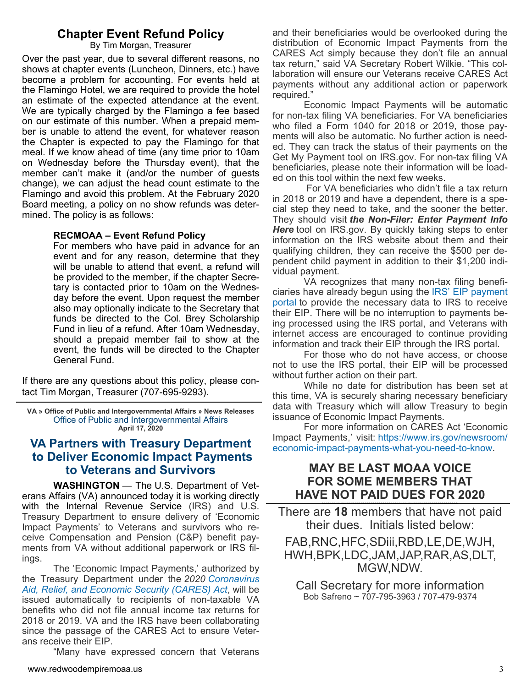### **Chapter Event Refund Policy**

By Tim Morgan, Treasurer

Over the past year, due to several different reasons, no shows at chapter events (Luncheon, Dinners, etc.) have become a problem for accounting. For events held at the Flamingo Hotel, we are required to provide the hotel an estimate of the expected attendance at the event. We are typically charged by the Flamingo a fee based on our estimate of this number. When a prepaid member is unable to attend the event, for whatever reason the Chapter is expected to pay the Flamingo for that meal. If we know ahead of time (any time prior to 10am on Wednesday before the Thursday event), that the member can't make it (and/or the number of guests change), we can adjust the head count estimate to the Flamingo and avoid this problem. At the February 2020 Board meeting, a policy on no show refunds was determined. The policy is as follows:

### **RECMOAA – Event Refund Policy**

For members who have paid in advance for an event and for any reason, determine that they will be unable to attend that event, a refund will be provided to the member, if the chapter Secretary is contacted prior to 10am on the Wednesday before the event. Upon request the member also may optionally indicate to the Secretary that funds be directed to the Col. Brey Scholarship Fund in lieu of a refund. After 10am Wednesday, should a prepaid member fail to show at the event, the funds will be directed to the Chapter General Fund.

If there are any questions about this policy, please contact Tim Morgan, Treasurer (707-695-9293).

**VA » Office of Public and Intergovernmental Affairs » News Releases**  Office of Public and Intergovernmental Affairs **April 17, 2020**

## **VA Partners with Treasury Department to Deliver Economic Impact Payments to Veterans and Survivors**

 **WASHINGTON** — The U.S. Department of Veterans Affairs (VA) announced today it is working directly with the Internal Revenue Service (IRS) and U.S. Treasury Department to ensure delivery of 'Economic Impact Payments' to Veterans and survivors who receive Compensation and Pension (C&P) benefit payments from VA without additional paperwork or IRS filings.

 The 'Economic Impact Payments,' authorized by the Treasury Department under the *2020 Coronavirus Aid, Relief, and Economic Security (CARES) Act*, will be issued automatically to recipients of non-taxable VA benefits who did not file annual income tax returns for 2018 or 2019. VA and the IRS have been collaborating since the passage of the CARES Act to ensure Veterans receive their EIP.

"Many have expressed concern that Veterans

and their beneficiaries would be overlooked during the distribution of Economic Impact Payments from the CARES Act simply because they don't file an annual tax return," said VA Secretary Robert Wilkie. "This collaboration will ensure our Veterans receive CARES Act payments without any additional action or paperwork required."

 Economic Impact Payments will be automatic for non-tax filing VA beneficiaries. For VA beneficiaries who filed a Form 1040 for 2018 or 2019, those payments will also be automatic. No further action is needed. They can track the status of their payments on the Get My Payment tool on IRS.gov. For non-tax filing VA beneficiaries, please note their information will be loaded on this tool within the next few weeks.

 For VA beneficiaries who didn't file a tax return in 2018 or 2019 and have a dependent, there is a special step they need to take, and the sooner the better. They should visit *the Non-Filer: Enter Payment Info Here* tool on IRS.gov. By quickly taking steps to enter information on the IRS website about them and their qualifying children, they can receive the \$500 per dependent child payment in addition to their \$1,200 individual payment.

 VA recognizes that many non-tax filing beneficiaries have already begun using the IRS' EIP payment portal to provide the necessary data to IRS to receive their EIP. There will be no interruption to payments being processed using the IRS portal, and Veterans with internet access are encouraged to continue providing information and track their EIP through the IRS portal.

 For those who do not have access, or choose not to use the IRS portal, their EIP will be processed without further action on their part.

 While no date for distribution has been set at this time, VA is securely sharing necessary beneficiary data with Treasury which will allow Treasury to begin issuance of Economic Impact Payments.

 For more information on CARES Act 'Economic Impact Payments,' visit: https://www.irs.gov/newsroom/ economic-impact-payments-what-you-need-to-know.

### **MAY BE LAST MOAA VOICE FOR SOME MEMBERS THAT HAVE NOT PAID DUES FOR 2020**

There are **18** members that have not paid their dues. Initials listed below:

### FAB,RNC,HFC,SDiii,RBD,LE,DE,WJH, HWH,BPK,LDC,JAM,JAP,RAR,AS,DLT, MGW,NDW.

Call Secretary for more information Bob Safreno ~ 707-795-3963 / 707-479-9374